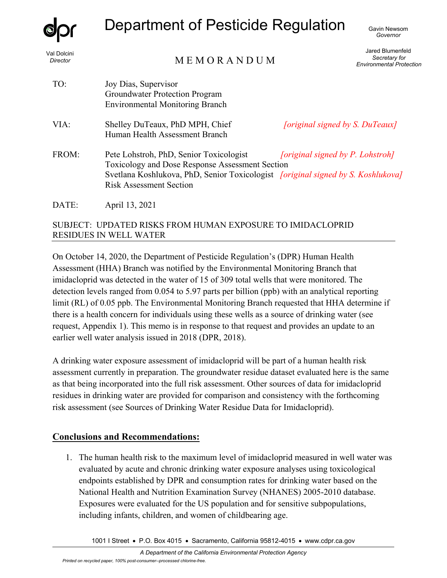

Val Dolcini *Director* 

# Department of Pesticide Regulation

MEMORANDIIM

Jared Blumenfeld *Secretary for Environmental Protection* 

|       | $\cdots$                                                                                                                                                                                                                | <b>Environmental Protec</b>      |
|-------|-------------------------------------------------------------------------------------------------------------------------------------------------------------------------------------------------------------------------|----------------------------------|
| TO:   | Joy Dias, Supervisor<br><b>Groundwater Protection Program</b><br><b>Environmental Monitoring Branch</b>                                                                                                                 |                                  |
| VIA:  | Shelley DuTeaux, PhD MPH, Chief<br>Human Health Assessment Branch                                                                                                                                                       | [original signed by S. DuTeaux]  |
| FROM: | Pete Lohstroh, PhD, Senior Toxicologist<br>Toxicology and Dose Response Assessment Section<br>Svetlana Koshlukova, PhD, Senior Toxicologist <i>[original signed by S. Koshlukova]</i><br><b>Risk Assessment Section</b> | [original signed by P. Lohstroh] |
| DATE: | April 13, 2021                                                                                                                                                                                                          |                                  |

# SUBJECT: UPDATED RISKS FROM HUMAN EXPOSURE TO IMIDACLOPRID RESIDUES IN WELL WATER

On October 14, 2020, the Department of Pesticide Regulation's (DPR) Human Health Assessment (HHA) Branch was notified by the Environmental Monitoring Branch that imidacloprid was detected in the water of 15 of 309 total wells that were monitored. The detection levels ranged from 0.054 to 5.97 parts per billion (ppb) with an analytical reporting limit (RL) of 0.05 ppb. The Environmental Monitoring Branch requested that HHA determine if there is a health concern for individuals using these wells as a source of drinking water (see request, Appendix 1). This memo is in response to that request and provides an update to an earlier well water analysis issued in 2018 (DPR, 2018).

A drinking water exposure assessment of imidacloprid will be part of a human health risk assessment currently in preparation. The groundwater residue dataset evaluated here is the same as that being incorporated into the full risk assessment. Other sources of data for imidacloprid residues in drinking water are provided for comparison and consistency with the forthcoming risk assessment (see Sources of Drinking Water Residue Data for Imidacloprid).

# **Conclusions and Recommendations:**

1. The human health risk to the maximum level of imidacloprid measured in well water was evaluated by acute and chronic drinking water exposure analyses using toxicological endpoints established by DPR and consumption rates for drinking water based on the National Health and Nutrition Examination Survey (NHANES) 2005-2010 database. Exposures were evaluated for the US population and for sensitive subpopulations, including infants, children, and women of childbearing age.

1001 I Street • P.O. Box 4015 • Sacramento, California 95812-4015 • www.cdpr.ca.gov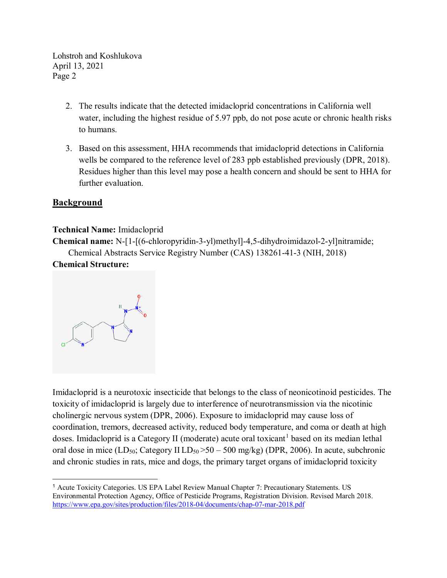- 2. The results indicate that the detected imidacloprid concentrations in California well water, including the highest residue of 5.97 ppb, do not pose acute or chronic health risks to humans.
- 3. Based on this assessment, HHA recommends that imidacloprid detections in California wells be compared to the reference level of 283 ppb established previously (DPR, 2018). Residues higher than this level may pose a health concern and should be sent to HHA for further evaluation.

# **Background**

#### **Technical Name:** Imidacloprid

**Chemical name:** N-[1-[(6-chloropyridin-3-yl)methyl]-4,5-dihydroimidazol-2-yl]nitramide; Chemical Abstracts Service Registry Number (CAS) 138261-41-3 (NIH, 2018)

# **Chemical Structure:**



Imidacloprid is a neurotoxic insecticide that belongs to the class of neonicotinoid pesticides. The toxicity of imidacloprid is largely due to interference of neurotransmission via the nicotinic cholinergic nervous system (DPR, 2006). Exposure to imidacloprid may cause loss of coordination, tremors, decreased activity, reduced body temperature, and coma or death at high doses. Imidacloprid is a Category II (moderate) acute oral toxicant<sup>[1](#page-1-0)</sup> based on its median lethal oral dose in mice  $(LD_{50}$ ; Category II  $LD_{50} > 50 - 500$  mg/kg) (DPR, 2006). In acute, subchronic and chronic studies in rats, mice and dogs, the primary target organs of imidacloprid toxicity

<span id="page-1-0"></span><sup>1</sup> Acute Toxicity Categories. US EPA Label Review Manual Chapter 7: Precautionary Statements. US Environmental Protection Agency, Office of Pesticide Programs, Registration Division. Revised March 2018. <https://www.epa.gov/sites/production/files/2018-04/documents/chap-07-mar-2018.pdf>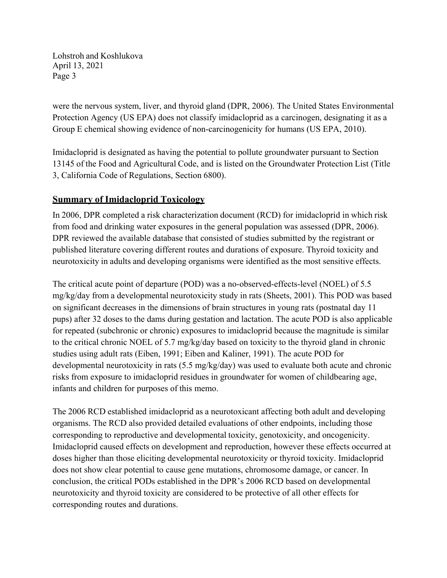were the nervous system, liver, and thyroid gland (DPR, 2006). The United States Environmental Protection Agency (US EPA) does not classify imidacloprid as a carcinogen, designating it as a Group E chemical showing evidence of non-carcinogenicity for humans (US EPA, 2010).

Imidacloprid is designated as having the potential to pollute groundwater pursuant to Section 13145 of the Food and Agricultural Code, and is listed on the Groundwater Protection List (Title 3, California Code of Regulations, Section 6800).

# **Summary of Imidacloprid Toxicology**

In 2006, DPR completed a risk characterization document (RCD) for imidacloprid in which risk from food and drinking water exposures in the general population was assessed (DPR, 2006). DPR reviewed the available database that consisted of studies submitted by the registrant or published literature covering different routes and durations of exposure. Thyroid toxicity and neurotoxicity in adults and developing organisms were identified as the most sensitive effects.

The critical acute point of departure (POD) was a no-observed-effects-level (NOEL) of 5.5 mg/kg/day from a developmental neurotoxicity study in rats (Sheets, 2001). This POD was based on significant decreases in the dimensions of brain structures in young rats (postnatal day 11 pups) after 32 doses to the dams during gestation and lactation. The acute POD is also applicable for repeated (subchronic or chronic) exposures to imidacloprid because the magnitude is similar to the critical chronic NOEL of 5.7 mg/kg/day based on toxicity to the thyroid gland in chronic studies using adult rats (Eiben, 1991; Eiben and Kaliner, 1991). The acute POD for developmental neurotoxicity in rats (5.5 mg/kg/day) was used to evaluate both acute and chronic risks from exposure to imidacloprid residues in groundwater for women of childbearing age, infants and children for purposes of this memo.

The 2006 RCD established imidacloprid as a neurotoxicant affecting both adult and developing organisms. The RCD also provided detailed evaluations of other endpoints, including those corresponding to reproductive and developmental toxicity, genotoxicity, and oncogenicity. Imidacloprid caused effects on development and reproduction, however these effects occurred at doses higher than those eliciting developmental neurotoxicity or thyroid toxicity. Imidacloprid does not show clear potential to cause gene mutations, chromosome damage, or cancer. In conclusion, the critical PODs established in the DPR's 2006 RCD based on developmental neurotoxicity and thyroid toxicity are considered to be protective of all other effects for corresponding routes and durations.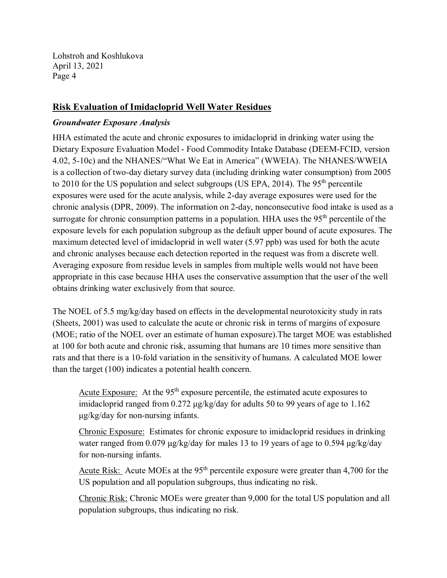# **Risk Evaluation of Imidacloprid Well Water Residues**

#### *Groundwater Exposure Analysis*

HHA estimated the acute and chronic exposures to imidacloprid in drinking water using the Dietary Exposure Evaluation Model - Food Commodity Intake Database (DEEM-FCID, version 4.02, 5-10c) and the NHANES/"What We Eat in America" (WWEIA). The NHANES/WWEIA is a collection of two-day dietary survey data (including drinking water consumption) from 2005 to 2010 for the US population and select subgroups (US EPA, 2014). The  $95<sup>th</sup>$  percentile exposures were used for the acute analysis, while 2-day average exposures were used for the chronic analysis (DPR, 2009). The information on 2-day, nonconsecutive food intake is used as a surrogate for chronic consumption patterns in a population. HHA uses the  $95<sup>th</sup>$  percentile of the exposure levels for each population subgroup as the default upper bound of acute exposures. The maximum detected level of imidacloprid in well water (5.97 ppb) was used for both the acute and chronic analyses because each detection reported in the request was from a discrete well. Averaging exposure from residue levels in samples from multiple wells would not have been appropriate in this case because HHA uses the conservative assumption that the user of the well obtains drinking water exclusively from that source.

The NOEL of 5.5 mg/kg/day based on effects in the developmental neurotoxicity study in rats (Sheets, 2001) was used to calculate the acute or chronic risk in terms of margins of exposure (MOE; ratio of the NOEL over an estimate of human exposure).The target MOE was established at 100 for both acute and chronic risk, assuming that humans are 10 times more sensitive than rats and that there is a 10-fold variation in the sensitivity of humans. A calculated MOE lower than the target (100) indicates a potential health concern.

Acute Exposure: At the  $95<sup>th</sup>$  exposure percentile, the estimated acute exposures to imidacloprid ranged from 0.272 μg/kg/day for adults 50 to 99 years of age to 1.162 μg/kg/day for non-nursing infants.

Chronic Exposure: Estimates for chronic exposure to imidacloprid residues in drinking water ranged from 0.079 μg/kg/day for males 13 to 19 years of age to 0.594 μg/kg/day for non-nursing infants.

Acute Risk: Acute MOEs at the 95<sup>th</sup> percentile exposure were greater than 4,700 for the US population and all population subgroups, thus indicating no risk.

Chronic Risk: Chronic MOEs were greater than 9,000 for the total US population and all population subgroups, thus indicating no risk.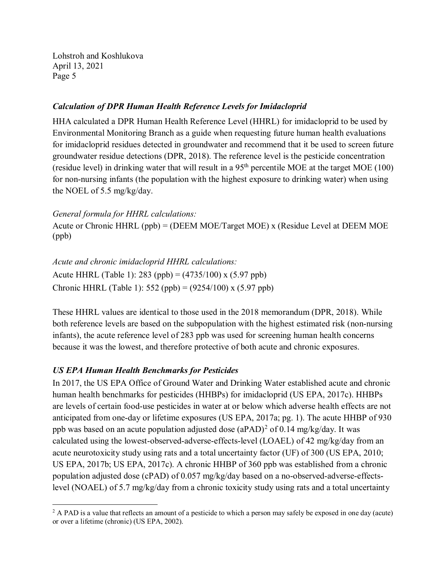#### *Calculation of DPR Human Health Reference Levels for Imidacloprid*

HHA calculated a DPR Human Health Reference Level (HHRL) for imidacloprid to be used by Environmental Monitoring Branch as a guide when requesting future human health evaluations for imidacloprid residues detected in groundwater and recommend that it be used to screen future groundwater residue detections (DPR, 2018). The reference level is the pesticide concentration (residue level) in drinking water that will result in a  $95<sup>th</sup>$  percentile MOE at the target MOE (100) for non-nursing infants (the population with the highest exposure to drinking water) when using the NOEL of 5.5 mg/kg/day.

#### *General formula for HHRL calculations:*

Acute or Chronic HHRL (ppb) = (DEEM MOE/Target MOE) x (Residue Level at DEEM MOE (ppb)

*Acute and chronic imidacloprid HHRL calculations:* Acute HHRL (Table 1): 283 (ppb) = (4735/100) x (5.97 ppb) Chronic HHRL (Table 1): 552 (ppb) = (9254/100) x (5.97 ppb)

These HHRL values are identical to those used in the 2018 memorandum (DPR, 2018). While both reference levels are based on the subpopulation with the highest estimated risk (non-nursing infants), the acute reference level of 283 ppb was used for screening human health concerns because it was the lowest, and therefore protective of both acute and chronic exposures.

# *US EPA Human Health Benchmarks for Pesticides*

 $\overline{a}$ 

In 2017, the US EPA Office of Ground Water and Drinking Water established acute and chronic human health benchmarks for pesticides (HHBPs) for imidacloprid (US EPA, 2017c). HHBPs are levels of certain food-use pesticides in water at or below which adverse health effects are not anticipated from one-day or lifetime exposures (US EPA, 2017a; pg. 1). The acute HHBP of 930 ppb was based on an acute population adjusted dose  $(aPAD)^2$  of 0.14 mg/kg/day. It was calculated using the lowest-observed-adverse-effects-level (LOAEL) of 42 mg/kg/day from an acute neurotoxicity study using rats and a total uncertainty factor (UF) of 300 (US EPA, 2010; US EPA, 2017b; US EPA, 2017c). A chronic HHBP of 360 ppb was established from a chronic population adjusted dose (cPAD) of 0.057 mg/kg/day based on a no-observed-adverse-effectslevel (NOAEL) of 5.7 mg/kg/day from a chronic toxicity study using rats and a total uncertainty

 $^2$  A PAD is a value that reflects an amount of a pesticide to which a person may safely be exposed in one day (acute) or over a lifetime (chronic) (US EPA, 2002).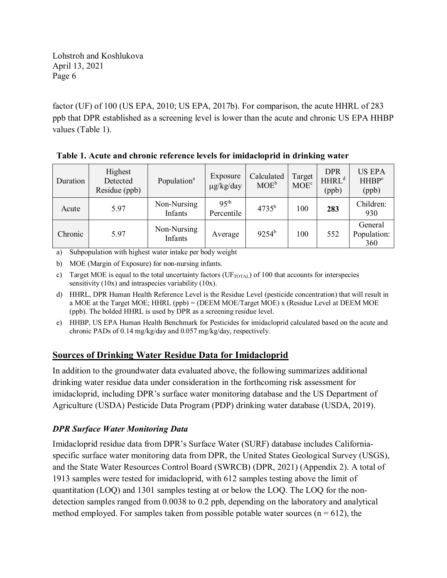factor (UF) of 100 (US EPA, 2010; US EPA, 2017b). For comparison, the acute HHRL of 283 ppb that DPR established as a screening level is lower than the acute and chronic US EPA HHBP values (Table 1).

| Duration | Highest<br>Detected<br>Residue (ppb) | Population <sup>a</sup> | Exposure<br>$\mu$ g/kg/day     | Calculated<br>$MOE^b$ | Target<br>$MOE^c$ | <b>DPR</b><br>HHRL <sup>d</sup><br>(ppb) | <b>US EPA</b><br><b>HHBP</b> <sup>e</sup><br>(ppb) |
|----------|--------------------------------------|-------------------------|--------------------------------|-----------------------|-------------------|------------------------------------------|----------------------------------------------------|
| Acute    | 5.97                                 | Non-Nursing<br>Infants  | 95 <sup>th</sup><br>Percentile | $4735^{b}$            | 100               | 283                                      | Children:<br>930                                   |
| Chronic  | 5.97                                 | Non-Nursing<br>Infants  | Average                        | $9254^{\rm b}$        | 100               | 552                                      | General<br>Population:<br>360                      |

**Table 1. Acute and chronic reference levels for imidacloprid in drinking water**

a) Subpopulation with highest water intake per body weight

b) MOE (Margin of Exposure) for non-nursing infants.

c) Target MOE is equal to the total uncertainty factors ( $UF_{\text{TOTAL}}$ ) of 100 that accounts for interspecies sensitivity (10x) and intraspecies variability (10x).

- d) HHRL, DPR Human Health Reference Level is the Residue Level (pesticide concentration) that will result in a MOE at the Target MOE; HHRL (ppb) = (DEEM MOE/Target MOE) x (Residue Level at DEEM MOE (ppb). The bolded HHRL is used by DPR as a screening residue level.
- e) HHBP, US EPA Human Health Benchmark for Pesticides for imidacloprid calculated based on the acute and chronic PADs of 0.14 mg/kg/day and 0.057 mg/kg/day, respectively.

# **Sources of Drinking Water Residue Data for Imidacloprid**

In addition to the groundwater data evaluated above, the following summarizes additional drinking water residue data under consideration in the forthcoming risk assessment for imidacloprid, including DPR's surface water monitoring database and the US Department of Agriculture (USDA) Pesticide Data Program (PDP) drinking water database (USDA, 2019).

# *DPR Surface Water Monitoring Data*

Imidacloprid residue data from DPR's Surface Water (SURF) database includes Californiaspecific surface water monitoring data from DPR, the United States Geological Survey (USGS), and the State Water Resources Control Board (SWRCB) (DPR, 2021) (Appendix 2). A total of 1913 samples were tested for imidacloprid, with 612 samples testing above the limit of quantitation (LOQ) and 1301 samples testing at or below the LOQ. The LOQ for the nondetection samples ranged from 0.0038 to 0.2 ppb, depending on the laboratory and analytical method employed. For samples taken from possible potable water sources ( $n = 612$ ), the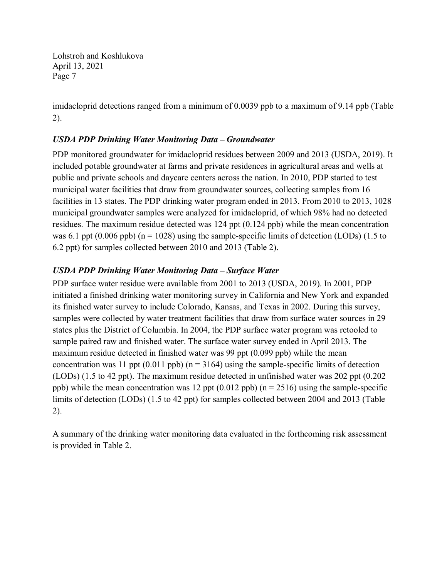imidacloprid detections ranged from a minimum of 0.0039 ppb to a maximum of 9.14 ppb (Table 2).

# *USDA PDP Drinking Water Monitoring Data – Groundwater*

PDP monitored groundwater for imidacloprid residues between 2009 and 2013 (USDA, 2019). It included potable groundwater at farms and private residences in agricultural areas and wells at public and private schools and daycare centers across the nation. In 2010, PDP started to test municipal water facilities that draw from groundwater sources, collecting samples from 16 facilities in 13 states. The PDP drinking water program ended in 2013. From 2010 to 2013, 1028 municipal groundwater samples were analyzed for imidacloprid, of which 98% had no detected residues. The maximum residue detected was 124 ppt (0.124 ppb) while the mean concentration was 6.1 ppt (0.006 ppb) ( $n = 1028$ ) using the sample-specific limits of detection (LODs) (1.5 to 6.2 ppt) for samples collected between 2010 and 2013 (Table 2).

# *USDA PDP Drinking Water Monitoring Data – Surface Water*

PDP surface water residue were available from 2001 to 2013 (USDA, 2019). In 2001, PDP initiated a finished drinking water monitoring survey in California and New York and expanded its finished water survey to include Colorado, Kansas, and Texas in 2002. During this survey, samples were collected by water treatment facilities that draw from surface water sources in 29 states plus the District of Columbia. In 2004, the PDP surface water program was retooled to sample paired raw and finished water. The surface water survey ended in April 2013. The maximum residue detected in finished water was 99 ppt (0.099 ppb) while the mean concentration was 11 ppt  $(0.011$  ppb) (n = 3164) using the sample-specific limits of detection (LODs) (1.5 to 42 ppt). The maximum residue detected in unfinished water was 202 ppt (0.202 ppb) while the mean concentration was 12 ppt  $(0.012 \text{ pb})$  (n = 2516) using the sample-specific limits of detection (LODs) (1.5 to 42 ppt) for samples collected between 2004 and 2013 (Table 2).

A summary of the drinking water monitoring data evaluated in the forthcoming risk assessment is provided in Table 2.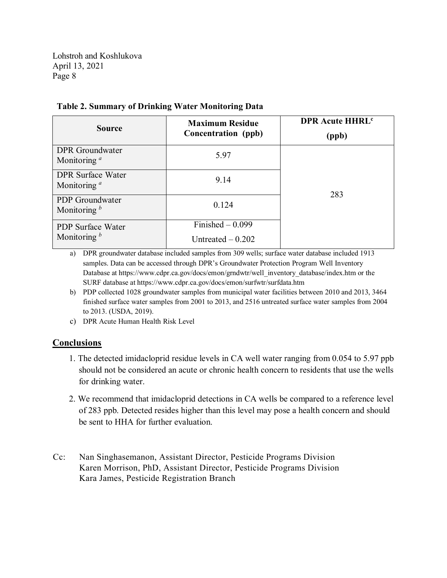| <b>Source</b>                              | <b>Maximum Residue</b><br>Concentration (ppb) | <b>DPR Acute HHRL<sup>c</sup></b><br>(ppb) |  |
|--------------------------------------------|-----------------------------------------------|--------------------------------------------|--|
| <b>DPR</b> Groundwater<br>Monitoring $a$   | 5.97                                          |                                            |  |
| <b>DPR</b> Surface Water<br>Monitoring $a$ | 9.14                                          | 283                                        |  |
| PDP Groundwater<br>Monitoring $b$          | 0.124                                         |                                            |  |
| <b>PDP</b> Surface Water<br>Monitoring $b$ | Finished $-0.099$<br>Untreated $-0.202$       |                                            |  |

#### **Table 2. Summary of Drinking Water Monitoring Data**

a) DPR groundwater database included samples from 309 wells; surface water database included 1913 samples. Data can be accessed through DPR's Groundwater Protection Program Well Inventory Database at [https://www.cdpr.ca.gov/docs/emon/grndwtr/well\\_inventory\\_database/index.htm](https://www.cdpr.ca.gov/docs/emon/grndwtr/well_inventory_database/index.htm) or the SURF database at<https://www.cdpr.ca.gov/docs/emon/surfwtr/surfdata.htm>

- b) PDP collected 1028 groundwater samples from municipal water facilities between 2010 and 2013, 3464 finished surface water samples from 2001 to 2013, and 2516 untreated surface water samples from 2004 to 2013. (USDA, 2019).
- c) DPR Acute Human Health Risk Level

# **Conclusions**

- 1. The detected imidacloprid residue levels in CA well water ranging from 0.054 to 5.97 ppb should not be considered an acute or chronic health concern to residents that use the wells for drinking water.
- 2. We recommend that imidacloprid detections in CA wells be compared to a reference level of 283 ppb. Detected resides higher than this level may pose a health concern and should be sent to HHA for further evaluation.
- Cc: Nan Singhasemanon, Assistant Director, Pesticide Programs Division Karen Morrison, PhD, Assistant Director, Pesticide Programs Division Kara James, Pesticide Registration Branch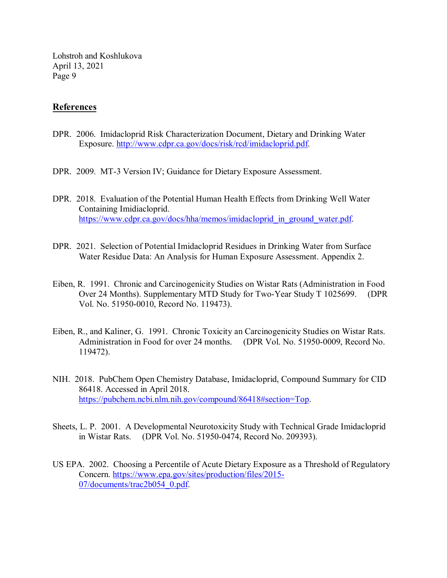# **References**

- DPR. 2006. Imidacloprid Risk Characterization Document, Dietary and Drinking Water Exposure. [http://www.cdpr.ca.gov/docs/risk/rcd/imidacloprid.pdf.](http://www.cdpr.ca.gov/docs/risk/rcd/imidacloprid.pdf)
- DPR. 2009. MT-3 Version IV; Guidance for Dietary Exposure Assessment.
- DPR. 2018. Evaluation of the Potential Human Health Effects from Drinking Well Water Containing Imidiacloprid. [https://www.cdpr.ca.gov/docs/hha/memos/imidacloprid\\_in\\_ground\\_water.pdf.](https://www.cdpr.ca.gov/docs/hha/memos/imidacloprid_in_ground_water.pdf)
- DPR. 2021. Selection of Potential Imidacloprid Residues in Drinking Water from Surface Water Residue Data: An Analysis for Human Exposure Assessment. Appendix 2.
- Eiben, R. 1991. Chronic and Carcinogenicity Studies on Wistar Rats (Administration in Food Over 24 Months). Supplementary MTD Study for Two-Year Study T 1025699. (DPR Vol. No. 51950-0010, Record No. 119473).
- Eiben, R., and Kaliner, G. 1991. Chronic Toxicity an Carcinogenicity Studies on Wistar Rats. Administration in Food for over 24 months. (DPR Vol. No. 51950-0009, Record No. 119472).
- NIH. 2018. PubChem Open Chemistry Database, Imidacloprid, Compound Summary for CID 86418. Accessed in April 2018. [https://pubchem.ncbi.nlm.nih.gov/compound/86418#section=Top.](https://pubchem.ncbi.nlm.nih.gov/compound/86418#section=Top)
- Sheets, L. P. 2001. A Developmental Neurotoxicity Study with Technical Grade Imidacloprid in Wistar Rats. (DPR Vol. No. 51950-0474, Record No. 209393).
- US EPA. 2002. Choosing a Percentile of Acute Dietary Exposure as a Threshold of Regulatory Concern. [https://www.epa.gov/sites/production/files/2015-](https://www.epa.gov/sites/production/files/2015-07/documents/trac2b054_0.pdf) [07/documents/trac2b054\\_0.pdf.](https://www.epa.gov/sites/production/files/2015-07/documents/trac2b054_0.pdf)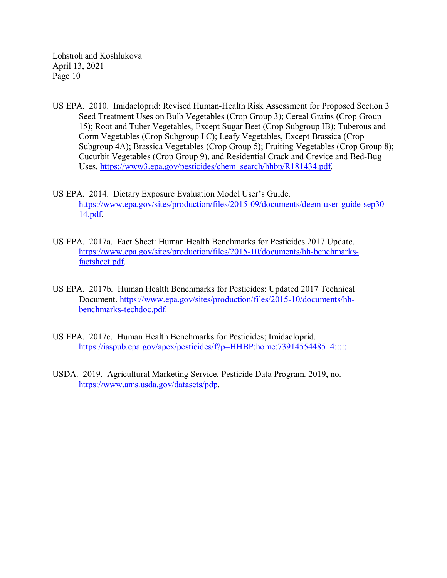- US EPA. 2010. Imidacloprid: Revised Human-Health Risk Assessment for Proposed Section 3 Seed Treatment Uses on Bulb Vegetables (Crop Group 3); Cereal Grains (Crop Group 15); Root and Tuber Vegetables, Except Sugar Beet (Crop Subgroup IB); Tuberous and Corm Vegetables (Crop Subgroup I C); Leafy Vegetables, Except Brassica (Crop Subgroup 4A); Brassica Vegetables (Crop Group 5); Fruiting Vegetables (Crop Group 8); Cucurbit Vegetables (Crop Group 9), and Residential Crack and Crevice and Bed-Bug Uses. [https://www3.epa.gov/pesticides/chem\\_search/hhbp/R181434.pdf.](https://www3.epa.gov/pesticides/chem_search/hhbp/R181434.pdf)
- US EPA. 2014. Dietary Exposure Evaluation Model User's Guide. [https://www.epa.gov/sites/production/files/2015-09/documents/deem-user-guide-sep30-](https://www.epa.gov/sites/production/files/2015-09/documents/deem-user-guide-sep30-14.pdf) [14.pdf.](https://www.epa.gov/sites/production/files/2015-09/documents/deem-user-guide-sep30-14.pdf)
- US EPA. 2017a. Fact Sheet: Human Health Benchmarks for Pesticides 2017 Update. [https://www.epa.gov/sites/production/files/2015-10/documents/hh-benchmarks](https://www.epa.gov/sites/production/files/2015-10/documents/hh-benchmarks-factsheet.pdf)[factsheet.pdf.](https://www.epa.gov/sites/production/files/2015-10/documents/hh-benchmarks-factsheet.pdf)
- US EPA. 2017b. Human Health Benchmarks for Pesticides: Updated 2017 Technical Document. [https://www.epa.gov/sites/production/files/2015-10/documents/hh](https://www.epa.gov/sites/production/files/2015-10/documents/hh-benchmarks-techdoc.pdf)[benchmarks-techdoc.pdf.](https://www.epa.gov/sites/production/files/2015-10/documents/hh-benchmarks-techdoc.pdf)
- US EPA. 2017c. Human Health Benchmarks for Pesticides; Imidacloprid. [https://iaspub.epa.gov/apex/pesticides/f?p=HHBP:home:7391455448514:::::.](https://iaspub.epa.gov/apex/pesticides/f?p=HHBP:home:7391455448514:::::)
- USDA. 2019. Agricultural Marketing Service, Pesticide Data Program. 2019, no. [https://www.ams.usda.gov/datasets/pdp.](https://www.ams.usda.gov/datasets/pdp)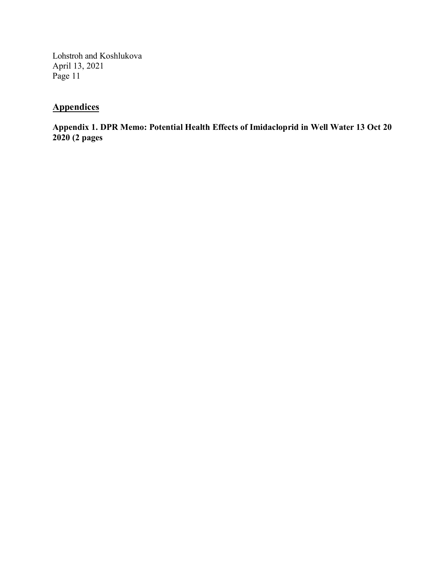# **Appendices**

**Appendix 1. DPR Memo: Potential Health Effects of Imidacloprid in Well Water 13 Oct 20 2020 (2 pages**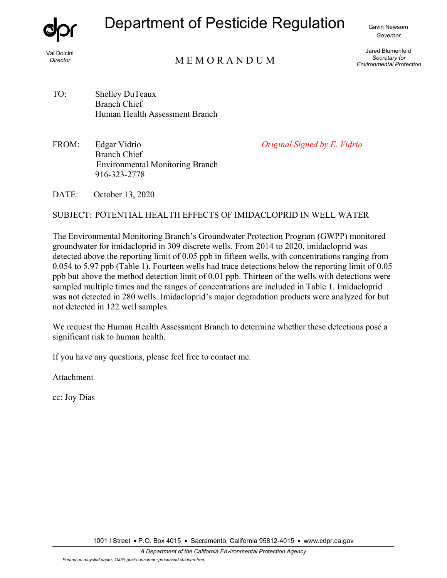

# Department of Pesticide Regulation

Gavin Newsom *Governor*

Val Dolcini *Director* 

# M E M O R A N D U M

Jared Blumenfeld *Secretary for Environmental Protection* 

- TO: Shelley DuTeaux Branch Chief Human Health Assessment Branch
- FROM: Edgar Vidrio *Original Signed by E. Vidrio* Branch Chief Environmental Monitoring Branch 916-323-2778

DATE: October 13, 2020

# SUBJECT: POTENTIAL HEALTH EFFECTS OF IMIDACLOPRID IN WELL WATER

The Environmental Monitoring Branch's Groundwater Protection Program (GWPP) monitored groundwater for imidacloprid in 309 discrete wells. From 2014 to 2020, imidacloprid was detected above the reporting limit of 0.05 ppb in fifteen wells, with concentrations ranging from 0.054 to 5.97 ppb (Table 1). Fourteen wells had trace detections below the reporting limit of 0.05 ppb but above the method detection limit of 0.01 ppb. Thirteen of the wells with detections were sampled multiple times and the ranges of concentrations are included in Table 1. Imidacloprid was not detected in 280 wells. Imidacloprid's major degradation products were analyzed for but not detected in 122 well samples.

We request the Human Health Assessment Branch to determine whether these detections pose a significant risk to human health.

If you have any questions, please feel free to contact me.

Attachment

cc: Joy Dias

1001 I Street • P.O. Box 4015 • Sacramento, California 95812-4015 • www.cdpr.ca.gov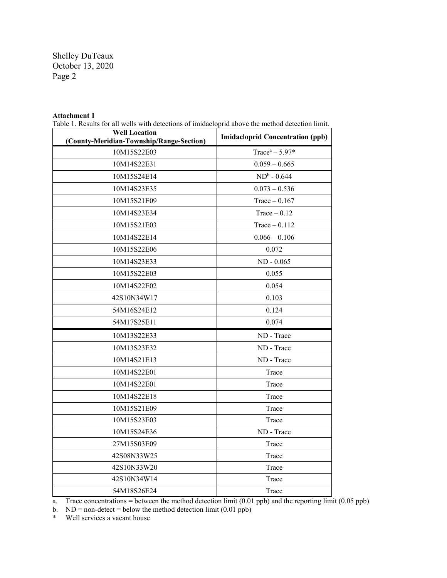Shelley DuTeaux October 13, 2020 Page 2

#### **Attachment 1**

Table 1. Results for all wells with detections of imidacloprid above the method detection limit.

| <b>Well Location</b><br>(County-Meridian-Township/Range-Section) | <b>Imidacloprid Concentration (ppb)</b> |
|------------------------------------------------------------------|-----------------------------------------|
| 10M15S22E03                                                      | Trace <sup>a</sup> $- 5.97*$            |
| 10M14S22E31                                                      | $0.059 - 0.665$                         |
| 10M15S24E14                                                      | $ND^b - 0.644$                          |
| 10M14S23E35                                                      | $0.073 - 0.536$                         |
| 10M15S21E09                                                      | Trace $-0.167$                          |
| 10M14S23E34                                                      | $Trace - 0.12$                          |
| 10M15S21E03                                                      | $Trace - 0.112$                         |
| 10M14S22E14                                                      | $0.066 - 0.106$                         |
| 10M15S22E06                                                      | 0.072                                   |
| 10M14S23E33                                                      | $ND - 0.065$                            |
| 10M15S22E03                                                      | 0.055                                   |
| 10M14S22E02                                                      | 0.054                                   |
| 42S10N34W17                                                      | 0.103                                   |
| 54M16S24E12                                                      | 0.124                                   |
| 54M17S25E11                                                      | 0.074                                   |
| 10M13S22E33                                                      | ND - Trace                              |
| 10M13S23E32                                                      | ND - Trace                              |
| 10M14S21E13                                                      | ND - Trace                              |
| 10M14S22E01                                                      | Trace                                   |
| 10M14S22E01                                                      | Trace                                   |
| 10M14S22E18                                                      | Trace                                   |
| 10M15S21E09                                                      | Trace                                   |
| 10M15S23E03                                                      | Trace                                   |
| 10M15S24E36                                                      | ND - Trace                              |
| 27M15S03E09                                                      | Trace                                   |
| 42S08N33W25                                                      | Trace                                   |
| 42S10N33W20                                                      | Trace                                   |
| 42S10N34W14                                                      | Trace                                   |
| 54M18S26E24                                                      | Trace                                   |

a. Trace concentrations = between the method detection limit (0.01 ppb) and the reporting limit (0.05 ppb)

b.  $ND = non-detect = below the method detection limit (0.01 ppb)$ <br>
Well services a vacant house

Well services a vacant house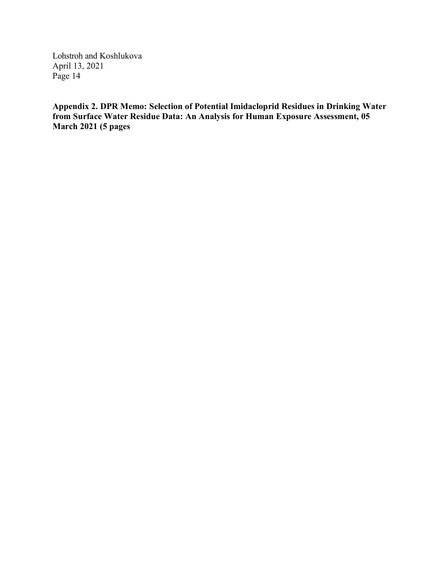**Appendix 2. DPR Memo: Selection of Potential Imidacloprid Residues in Drinking Water from Surface Water Residue Data: An Analysis for Human Exposure Assessment, 05 March 2021 (5 pages**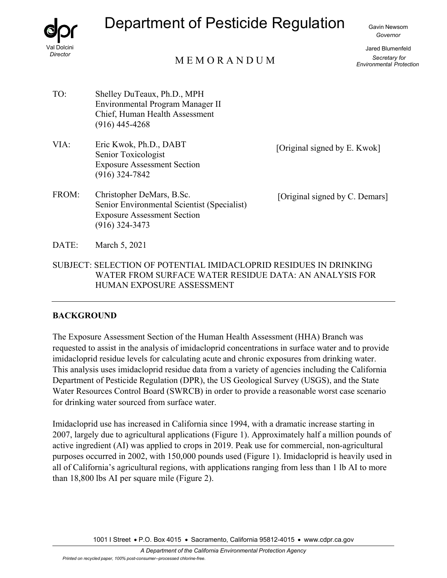

# Department of Pesticide Regulation

Gavin Newsom *Governor*

Jared Blumenfeld *Secretary for Environmental Protection*

# M E M O R A N D U M

- TO: Shelley DuTeaux, Ph.D., MPH Environmental Program Manager II Chief, Human Health Assessment (916) 445-4268
- VIA: Eric Kwok, Ph.D., DABT [Original signed by E. Kwok]<br>Senior Toxicologist Exposure Assessment Section (916) 324-7842
- FROM: Christopher DeMars, B.Sc. [Original signed by C. Demars] Senior Environmental Scientist (Specialist) Exposure Assessment Section (916) 324-3473

- DATE: March 5, 2021
- SUBJECT: SELECTION OF POTENTIAL IMIDACLOPRID RESIDUES IN DRINKING WATER FROM SURFACE WATER RESIDUE DATA: AN ANALYSIS FOR HUMAN EXPOSURE ASSESSMENT

# **BACKGROUND**

The Exposure Assessment Section of the Human Health Assessment (HHA) Branch was requested to assist in the analysis of imidacloprid concentrations in surface water and to provide imidacloprid residue levels for calculating acute and chronic exposures from drinking water. This analysis uses imidacloprid residue data from a variety of agencies including the California Department of Pesticide Regulation (DPR), the US Geological Survey (USGS), and the State Water Resources Control Board (SWRCB) in order to provide a reasonable worst case scenario for drinking water sourced from surface water.

Imidacloprid use has increased in California since 1994, with a dramatic increase starting in 2007, largely due to agricultural applications (Figure 1). Approximately half a million pounds of active ingredient (AI) was applied to crops in 2019. Peak use for commercial, non-agricultural purposes occurred in 2002, with 150,000 pounds used (Figure 1). Imidacloprid is heavily used in all of California's agricultural regions, with applications ranging from less than 1 lb AI to more than 18,800 lbs AI per square mile (Figure 2).

1001 I Street • P.O. Box 4015 • Sacramento, California 95812-4015 • www.cdpr.ca.gov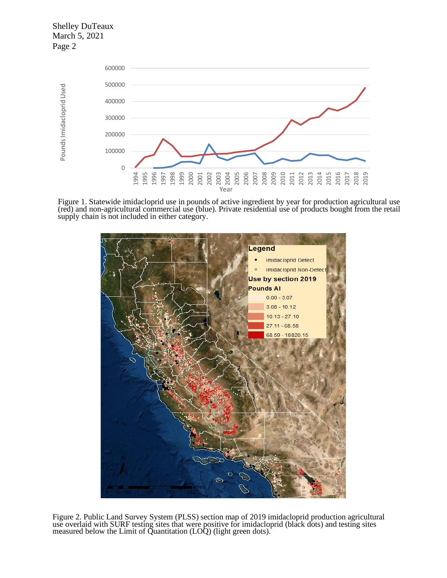Shelley DuTeaux March 5, 2021 Page 2



Figure 1. Statewide imidacloprid use in pounds of active ingredient by year for production agricultural use (red) and non-agricultural commercial use (blue). Private residential use of products bought from the retail supply chain is not included in either category.



Figure 2. Public Land Survey System (PLSS) section map of 2019 imidacloprid production agricultural use overlaid with SURF testing sites that were positive for imidacloprid (black dots) and testing sites measured below the Limit of Quantitation (LOQ) (light green dots).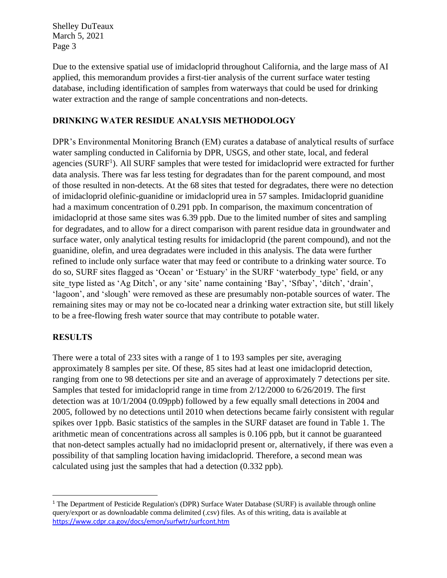Shelley DuTeaux March 5, 2021 Page 3

Due to the extensive spatial use of imidacloprid throughout California, and the large mass of AI applied, this memorandum provides a first-tier analysis of the current surface water testing database, including identification of samples from waterways that could be used for drinking water extraction and the range of sample concentrations and non-detects.

# **DRINKING WATER RESIDUE ANALYSIS METHODOLOGY**

DPR's Environmental Monitoring Branch (EM) curates a database of analytical results of surface water sampling conducted in California by DPR, USGS, and other state, local, and federal agencies (SURF<sup>1</sup>). All SURF samples that were tested for imidacloprid were extracted for further data analysis. There was far less testing for degradates than for the parent compound, and most of those resulted in non-detects. At the 68 sites that tested for degradates, there were no detection of imidacloprid olefinic-guanidine or imidacloprid urea in 57 samples. Imidacloprid guanidine had a maximum concentration of 0.291 ppb. In comparison, the maximum concentration of imidacloprid at those same sites was 6.39 ppb. Due to the limited number of sites and sampling for degradates, and to allow for a direct comparison with parent residue data in groundwater and surface water, only analytical testing results for imidacloprid (the parent compound), and not the guanidine, olefin, and urea degradates were included in this analysis. The data were further refined to include only surface water that may feed or contribute to a drinking water source. To do so, SURF sites flagged as 'Ocean' or 'Estuary' in the SURF 'waterbody\_type' field, or any site type listed as 'Ag Ditch', or any 'site' name containing 'Bay', 'Sfbay', 'ditch', 'drain', 'lagoon', and 'slough' were removed as these are presumably non-potable sources of water. The remaining sites may or may not be co-located near a drinking water extraction site, but still likely to be a free-flowing fresh water source that may contribute to potable water.

# **RESULTS**

There were a total of 233 sites with a range of 1 to 193 samples per site, averaging approximately 8 samples per site. Of these, 85 sites had at least one imidacloprid detection, ranging from one to 98 detections per site and an average of approximately 7 detections per site. Samples that tested for imidacloprid range in time from 2/12/2000 to 6/26/2019. The first detection was at 10/1/2004 (0.09ppb) followed by a few equally small detections in 2004 and 2005, followed by no detections until 2010 when detections became fairly consistent with regular spikes over 1ppb. Basic statistics of the samples in the SURF dataset are found in Table 1. The arithmetic mean of concentrations across all samples is 0.106 ppb, but it cannot be guaranteed that non-detect samples actually had no imidacloprid present or, alternatively, if there was even a possibility of that sampling location having imidacloprid. Therefore, a second mean was calculated using just the samples that had a detection (0.332 ppb).

<sup>&</sup>lt;sup>1</sup> The Department of Pesticide Regulation's (DPR) Surface Water Database (SURF) is available through online query/export or as downloadable comma delimited (.csv) files. As of this writing, data is available at <https://www.cdpr.ca.gov/docs/emon/surfwtr/surfcont.htm>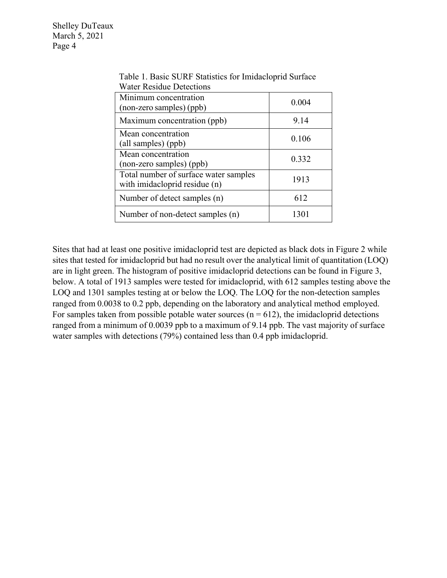Shelley DuTeaux March 5, 2021 Page 4

| water Resique Detections                                               |       |
|------------------------------------------------------------------------|-------|
| Minimum concentration<br>(non-zero samples) (ppb)                      | 0.004 |
| Maximum concentration (ppb)                                            | 9.14  |
| Mean concentration<br>(all samples) (ppb)                              | 0.106 |
| Mean concentration<br>(non-zero samples) (ppb)                         | 0.332 |
| Total number of surface water samples<br>with imidacloprid residue (n) | 1913  |
| Number of detect samples (n)                                           | 612   |
| Number of non-detect samples (n)                                       | 1301  |

Table 1. Basic SURF Statistics for Imidacloprid Surface Water Residue Detections

Sites that had at least one positive imidacloprid test are depicted as black dots in Figure 2 while sites that tested for imidacloprid but had no result over the analytical limit of quantitation (LOQ) are in light green. The histogram of positive imidacloprid detections can be found in Figure 3, below. A total of 1913 samples were tested for imidacloprid, with 612 samples testing above the LOQ and 1301 samples testing at or below the LOQ. The LOQ for the non-detection samples ranged from 0.0038 to 0.2 ppb, depending on the laboratory and analytical method employed. For samples taken from possible potable water sources ( $n = 612$ ), the imidacloprid detections ranged from a minimum of 0.0039 ppb to a maximum of 9.14 ppb. The vast majority of surface water samples with detections (79%) contained less than 0.4 ppb imidacloprid.